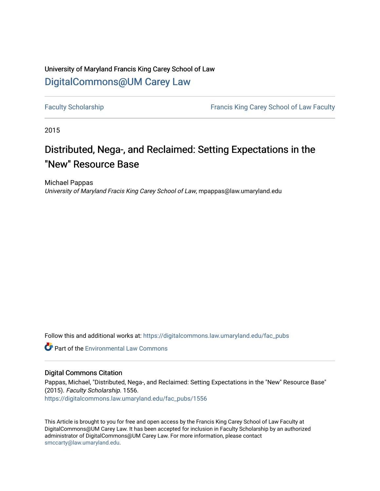## University of Maryland Francis King Carey School of Law [DigitalCommons@UM Carey Law](https://digitalcommons.law.umaryland.edu/)

[Faculty Scholarship](https://digitalcommons.law.umaryland.edu/fac_pubs) **Francis King Carey School of Law Faculty** 

2015

# Distributed, Nega-, and Reclaimed: Setting Expectations in the "New" Resource Base

Michael Pappas University of Maryland Fracis King Carey School of Law, mpappas@law.umaryland.edu

Follow this and additional works at: [https://digitalcommons.law.umaryland.edu/fac\\_pubs](https://digitalcommons.law.umaryland.edu/fac_pubs?utm_source=digitalcommons.law.umaryland.edu%2Ffac_pubs%2F1556&utm_medium=PDF&utm_campaign=PDFCoverPages) 

**C** Part of the [Environmental Law Commons](http://network.bepress.com/hgg/discipline/599?utm_source=digitalcommons.law.umaryland.edu%2Ffac_pubs%2F1556&utm_medium=PDF&utm_campaign=PDFCoverPages)

### Digital Commons Citation

Pappas, Michael, "Distributed, Nega-, and Reclaimed: Setting Expectations in the "New" Resource Base" (2015). Faculty Scholarship. 1556. [https://digitalcommons.law.umaryland.edu/fac\\_pubs/1556](https://digitalcommons.law.umaryland.edu/fac_pubs/1556?utm_source=digitalcommons.law.umaryland.edu%2Ffac_pubs%2F1556&utm_medium=PDF&utm_campaign=PDFCoverPages) 

This Article is brought to you for free and open access by the Francis King Carey School of Law Faculty at DigitalCommons@UM Carey Law. It has been accepted for inclusion in Faculty Scholarship by an authorized administrator of DigitalCommons@UM Carey Law. For more information, please contact [smccarty@law.umaryland.edu](mailto:smccarty@law.umaryland.edu).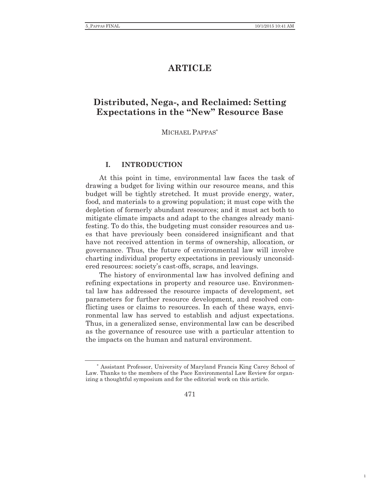1

## **ARTICLE**

## **Distributed, Nega-, and Reclaimed: Setting Expectations in the "New" Resource Base**

#### MICHAEL PAPPAS\*

#### **I. INTRODUCTION**

At this point in time, environmental law faces the task of drawing a budget for living within our resource means, and this budget will be tightly stretched. It must provide energy, water, food, and materials to a growing population; it must cope with the depletion of formerly abundant resources; and it must act both to mitigate climate impacts and adapt to the changes already manifesting. To do this, the budgeting must consider resources and uses that have previously been considered insignificant and that have not received attention in terms of ownership, allocation, or governance. Thus, the future of environmental law will involve charting individual property expectations in previously unconsidered resources: society's cast-offs, scraps, and leavings.

The history of environmental law has involved defining and refining expectations in property and resource use. Environmental law has addressed the resource impacts of development, set parameters for further resource development, and resolved conflicting uses or claims to resources. In each of these ways, environmental law has served to establish and adjust expectations. Thus, in a generalized sense, environmental law can be described as the governance of resource use with a particular attention to the impacts on the human and natural environment.

471

<sup>\*</sup> Assistant Professor, University of Maryland Francis King Carey School of Law. Thanks to the members of the Pace Environmental Law Review for organizing a thoughtful symposium and for the editorial work on this article.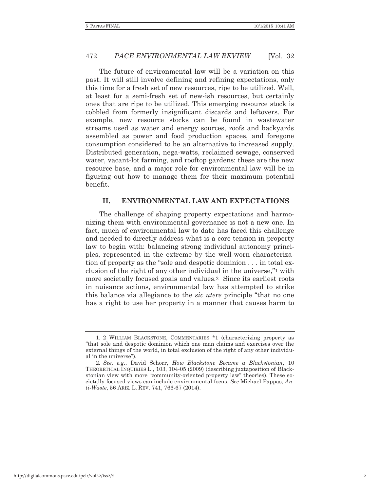The future of environmental law will be a variation on this past. It will still involve defining and refining expectations, only this time for a fresh set of new resources, ripe to be utilized. Well, at least for a semi-fresh set of new-ish resources, but certainly ones that are ripe to be utilized. This emerging resource stock is cobbled from formerly insignificant discards and leftovers. For example, new resource stocks can be found in wastewater streams used as water and energy sources, roofs and backyards assembled as power and food production spaces, and foregone consumption considered to be an alternative to increased supply. Distributed generation, nega-watts, reclaimed sewage, conserved water, vacant-lot farming, and rooftop gardens: these are the new resource base, and a major role for environmental law will be in figuring out how to manage them for their maximum potential benefit.

#### **II. ENVIRONMENTAL LAW AND EXPECTATIONS**

The challenge of shaping property expectations and harmonizing them with environmental governance is not a new one. In fact, much of environmental law to date has faced this challenge and needed to directly address what is a core tension in property law to begin with: balancing strong individual autonomy principles, represented in the extreme by the well-worn characterization of property as the "sole and despotic dominion . . . in total exclusion of the right of any other individual in the universe,"1 with more societally focused goals and values.2 Since its earliest roots in nuisance actions, environmental law has attempted to strike this balance via allegiance to the *sic utere* principle "that no one has a right to use her property in a manner that causes harm to

 <sup>1. 2</sup> WILLIAM BLACKSTONE, COMMENTARIES \*1 (characterizing property as "that sole and despotic dominion which one man claims and exercises over the external things of the world, in total exclusion of the right of any other individual in the universe").

<sup>2</sup>*. See, e.g*., David Schorr, *How Blackstone Became a Blackstonian*, 10 THEORETICAL INQUIRIES L., 103, 104-05 (2009) (describing juxtaposition of Blackstonian view with more "community-oriented property law" theories). These societally-focused views can include environmental focus. *See* Michael Pappas, *Anti-Waste*, 56 ARIZ. L. REV. 741, 766-67 (2014).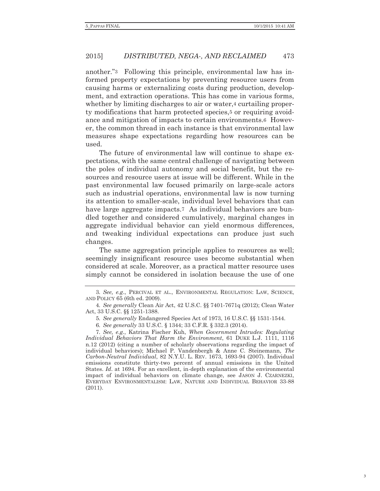another."3 Following this principle, environmental law has informed property expectations by preventing resource users from causing harms or externalizing costs during production, development, and extraction operations. This has come in various forms, whether by limiting discharges to air or water, 4 curtailing property modifications that harm protected species,5 or requiring avoidance and mitigation of impacts to certain environments.6 However, the common thread in each instance is that environmental law measures shape expectations regarding how resources can be used.

The future of environmental law will continue to shape expectations, with the same central challenge of navigating between the poles of individual autonomy and social benefit, but the resources and resource users at issue will be different. While in the past environmental law focused primarily on large-scale actors such as industrial operations, environmental law is now turning its attention to smaller-scale, individual level behaviors that can have large aggregate impacts.<sup>7</sup> As individual behaviors are bundled together and considered cumulatively, marginal changes in aggregate individual behavior can yield enormous differences, and tweaking individual expectations can produce just such changes.

The same aggregation principle applies to resources as well; seemingly insignificant resource uses become substantial when considered at scale. Moreover, as a practical matter resource uses simply cannot be considered in isolation because the use of one

<sup>3</sup>*. See, e.g*., PERCIVAL ET AL., ENVIRONMENTAL REGULATION: LAW, SCIENCE, AND POLICY 65 (6th ed. 2009).

<sup>4</sup>*. See generally* Clean Air Act, 42 U.S.C. §§ 7401-7671q (2012); Clean Water Act, 33 U.S.C. §§ 1251-1388.

<sup>5</sup>*. See generally* Endangered Species Act of 1973, 16 U.S.C. §§ 1531-1544.

<sup>6</sup>*. See generally* 33 U.S.C. § 1344; 33 C.F.R. § 332.3 (2014).

<sup>7</sup>*. See, e.g.*, Katrina Fischer Kuh, *When Government Intrudes: Regulating Individual Behaviors That Harm the Environment*, 61 DUKE L.J. 1111, 1116 n.12 (2012) (citing a number of scholarly observations regarding the impact of individual behaviors); Michael P. Vandenbergh & Anne C. Steinemann, *The Carbon-Neutral Individual*, 82 N.Y.U. L. REV. 1673, 1693-94 (2007). Individual emissions constitute thirty-two percent of annual emissions in the United States. *Id*. at 1694. For an excellent, in-depth explanation of the environmental impact of individual behaviors on climate change, see JASON J. CZARNEZKI, EVERYDAY ENVIRONMENTALISM: LAW, NATURE AND INDIVIDUAL BEHAVIOR 33-88 (2011).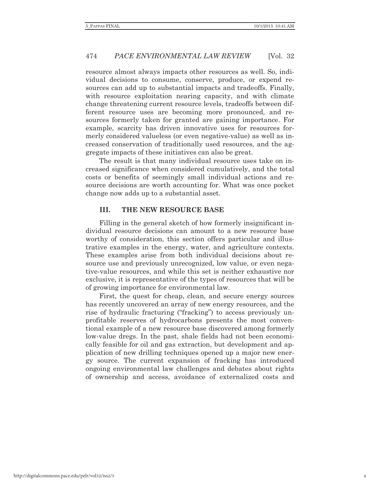resource almost always impacts other resources as well. So, individual decisions to consume, conserve, produce, or expend resources can add up to substantial impacts and tradeoffs. Finally, with resource exploitation nearing capacity, and with climate change threatening current resource levels, tradeoffs between different resource uses are becoming more pronounced, and resources formerly taken for granted are gaining importance. For example, scarcity has driven innovative uses for resources formerly considered valueless (or even negative-value) as well as increased conservation of traditionally used resources, and the aggregate impacts of these initiatives can also be great.

The result is that many individual resource uses take on increased significance when considered cumulatively, and the total costs or benefits of seemingly small individual actions and resource decisions are worth accounting for. What was once pocket change now adds up to a substantial asset.

#### **III. THE NEW RESOURCE BASE**

Filling in the general sketch of how formerly insignificant individual resource decisions can amount to a new resource base worthy of consideration, this section offers particular and illustrative examples in the energy, water, and agriculture contexts. These examples arise from both individual decisions about resource use and previously unrecognized, low value, or even negative-value resources, and while this set is neither exhaustive nor exclusive, it is representative of the types of resources that will be of growing importance for environmental law.

First, the quest for cheap, clean, and secure energy sources has recently uncovered an array of new energy resources, and the rise of hydraulic fracturing ("fracking") to access previously unprofitable reserves of hydrocarbons presents the most conventional example of a new resource base discovered among formerly low-value dregs. In the past, shale fields had not been economically feasible for oil and gas extraction, but development and application of new drilling techniques opened up a major new energy source. The current expansion of fracking has introduced ongoing environmental law challenges and debates about rights of ownership and access, avoidance of externalized costs and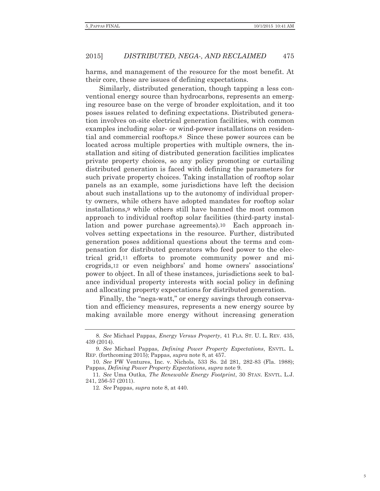harms, and management of the resource for the most benefit. At their core, these are issues of defining expectations.

Similarly, distributed generation, though tapping a less conventional energy source than hydrocarbons, represents an emerging resource base on the verge of broader exploitation, and it too poses issues related to defining expectations. Distributed generation involves on-site electrical generation facilities, with common examples including solar- or wind-power installations on residential and commercial rooftops.8 Since these power sources can be located across multiple properties with multiple owners, the installation and siting of distributed generation facilities implicates private property choices, so any policy promoting or curtailing distributed generation is faced with defining the parameters for such private property choices. Taking installation of rooftop solar panels as an example, some jurisdictions have left the decision about such installations up to the autonomy of individual property owners, while others have adopted mandates for rooftop solar installations,9 while others still have banned the most common approach to individual rooftop solar facilities (third-party installation and power purchase agreements).10 Each approach involves setting expectations in the resource. Further, distributed generation poses additional questions about the terms and compensation for distributed generators who feed power to the electrical grid,11 efforts to promote community power and microgrids,12 or even neighbors' and home owners' associations' power to object. In all of these instances, jurisdictions seek to balance individual property interests with social policy in defining and allocating property expectations for distributed generation.

Finally, the "nega-watt," or energy savings through conservation and efficiency measures, represents a new energy source by making available more energy without increasing generation

<sup>8</sup>*. See* Michael Pappas, *Energy Versus Property*, 41 FLA. ST. U. L. REV. 435, 439 (2014).

<sup>9</sup>*. See* Michael Pappas, *Defining Power Property Expectations*, ENVTL. L. REP. (forthcoming 2015); Pappas, *supra* note 8, at 457.

<sup>10</sup>*. See* PW Ventures, Inc. v. Nichols, 533 So. 2d 281, 282-83 (Fla. 1988); Pappas, *Defining Power Property Expectations*, *supra* note 9.

<sup>11</sup>*. See* Uma Outka, *The Renewable Energy Footprint*, 30 STAN. ENVTL. L.J. 241, 256-57 (2011).

<sup>12</sup>*. See* Pappas, *supra* note 8, at 440.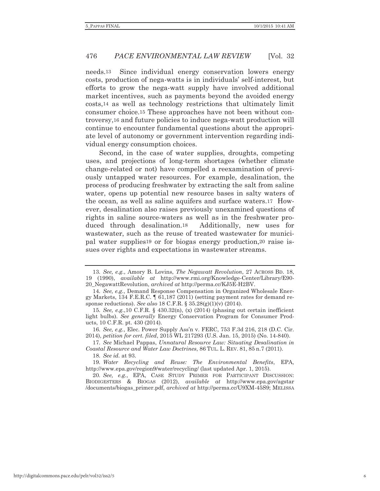needs.13 Since individual energy conservation lowers energy costs, production of nega-watts is in individuals' self-interest, but efforts to grow the nega-watt supply have involved additional market incentives, such as payments beyond the avoided energy costs,14 as well as technology restrictions that ultimately limit consumer choice.15 These approaches have not been without controversy,16 and future policies to induce nega-watt production will continue to encounter fundamental questions about the appropriate level of autonomy or government intervention regarding individual energy consumption choices.

Second, in the case of water supplies, droughts, competing uses, and projections of long-term shortages (whether climate change-related or not) have compelled a reexamination of previously untapped water resources. For example, desalination, the process of producing freshwater by extracting the salt from saline water, opens up potential new resource bases in salty waters of the ocean, as well as saline aquifers and surface waters.17 However, desalination also raises previously unexamined questions of rights in saline source-waters as well as in the freshwater produced through desalination.18 Additionally, new uses for wastewater, such as the reuse of treated wastewater for municipal water supplies19 or for biogas energy production,20 raise issues over rights and expectations in wastewater streams.

17*. See* Michael Pappas, *Unnatural Resource Law: Situating Desalination in Coastal Resource and Water Law Doctrines*, 86 TUL. L. REV. 81, 85 n.7 (2011).

18*. See id.* at 93.

19*. Water Recycling and Reuse: The Environmental Benefits*, EPA, http://www.epa.gov/region9/water/recycling/ (last updated Apr. 1, 2015).

20*. See, e.g.*, EPA, CASE STUDY PRIMER FOR PARTICIPANT DISCUSSION: BIODIGESTERS & BIOGAS (2012), *available at* http://www.epa.gov/agstar /documents/biogas\_primer.pdf, *archived at* http://perma.cc/U9XM-45S9; MELISSA

<sup>13</sup>*. See, e.g.*, Amory B. Lovins, *The Negawatt Revolution*, 27 ACROSS BD. 18, 19 (1990), *available at* http://www.rmi.org/Knowledge-Center/Library/E90- 20\_NegawattRevolution, *archived at* http://perma.cc/KJ5E-H2BV.

<sup>14</sup>*. See, e.g.*, Demand Response Compensation in Organized Wholesale Energy Markets, 134 F.E.R.C. ¶ 61,187 (2011) (setting payment rates for demand response reductions). *See also* 18 C.F.R. § 35.28(g)(1)(v) (2014).

<sup>15</sup>*. See, e.g.*,10 C.F.R. § 430.32(n), (x) (2014) (phasing out certain inefficient light bulbs). *See generally* Energy Conservation Program for Consumer Products, 10 C.F.R. pt. 430 (2014).

<sup>16</sup>*. See, e.g.*, Elec. Power Supply Ass'n v. FERC, 753 F.3d 216, 218 (D.C. Cir. 2014), *petition for cert. filed*, 2015 WL 217293 (U.S. Jan. 15, 2015) (No. 14-840).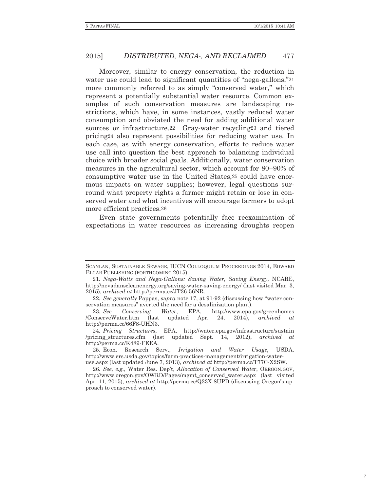Moreover, similar to energy conservation, the reduction in water use could lead to significant quantities of "nega-gallons,"<sup>21</sup> more commonly referred to as simply "conserved water," which represent a potentially substantial water resource. Common examples of such conservation measures are landscaping restrictions, which have, in some instances, vastly reduced water consumption and obviated the need for adding additional water sources or infrastructure.22 Gray-water recycling23 and tiered pricing24 also represent possibilities for reducing water use. In each case, as with energy conservation, efforts to reduce water use call into question the best approach to balancing individual choice with broader social goals. Additionally, water conservation measures in the agricultural sector, which account for 80–90% of consumptive water use in the United States,25 could have enormous impacts on water supplies; however, legal questions surround what property rights a farmer might retain or lose in conserved water and what incentives will encourage farmers to adopt more efficient practices.26

Even state governments potentially face reexamination of expectations in water resources as increasing droughts reopen

SCANLAN, SUSTAINABLE SEWAGE, IUCN COLLOQUIUM PROCEEDINGS 2014, EDWARD ELGAR PUBLISHING (FORTHCOMING 2015).

<sup>21</sup>*. Nega-Watts and Nega-Gallons: Saving Water, Saving Energy,* NCARE, http://nevadanscleanenergy.org/saving-water-saving-energy/ (last visited Mar. 3, 2015), *archived at* http://perma.cc/JT36-56NR.

<sup>22</sup>*. See generally* Pappas, *supra* note 17, at 91-92 (discussing how "water conservation measures" averted the need for a desalinization plant).

<sup>23</sup>*. See Conserving Water*, EPA, http://www.epa.gov/greenhomes /ConserveWater.htm (last updated Apr. 24, 2014), *archived at* http://perma.cc/66F8-UHN3.

<sup>24</sup>*. Pricing Structures*, EPA, http://water.epa.gov/infrastructure/sustain /pricing\_structures.cfm (last updated Sept. 14, 2012), *archived at* http://perma.cc/K489-FEEA.

 <sup>25.</sup> Econ. Research Serv., *Irrigation and Water Usage*, USDA, http://www.ers.usda.gov/topics/farm-practices-management/irrigation-wateruse.aspx (last updated June 7, 2013), *archived at* http://perma.cc/T77C-X2SW.

<sup>26</sup>*. See, e.g.*, Water Res. Dep't, *Allocation of Conserved Water*, OREGON.GOV, http://www.oregon.gov/OWRD/Pages/mgmt\_conserved\_water.aspx (last visited Apr. 11, 2015), *archived at* http://perma.cc/Q33X-8UPD (discussing Oregon's approach to conserved water).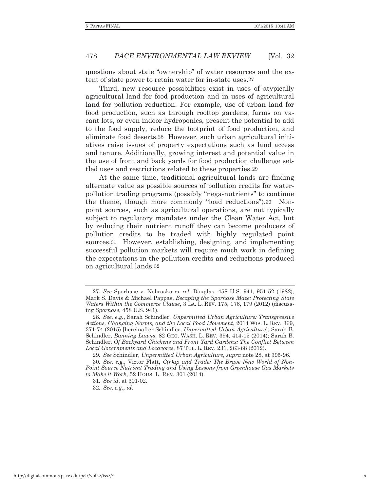questions about state "ownership" of water resources and the extent of state power to retain water for in-state uses.27

Third, new resource possibilities exist in uses of atypically agricultural land for food production and in uses of agricultural land for pollution reduction. For example, use of urban land for food production, such as through rooftop gardens, farms on vacant lots, or even indoor hydroponics, present the potential to add to the food supply, reduce the footprint of food production, and eliminate food deserts.28 However, such urban agricultural initiatives raise issues of property expectations such as land access and tenure. Additionally, growing interest and potential value in the use of front and back yards for food production challenge settled uses and restrictions related to these properties.29

At the same time, traditional agricultural lands are finding alternate value as possible sources of pollution credits for waterpollution trading programs (possibly "nega-nutrients" to continue the theme, though more commonly "load reductions").30 Nonpoint sources, such as agricultural operations, are not typically subject to regulatory mandates under the Clean Water Act, but by reducing their nutrient runoff they can become producers of pollution credits to be traded with highly regulated point sources.31 However, establishing, designing, and implementing successful pollution markets will require much work in defining the expectations in the pollution credits and reductions produced on agricultural lands.32

<sup>27</sup>*. See* Sporhase v. Nebraska *ex rel.* Douglas, 458 U.S. 941, 951-52 (1982); Mark S. Davis & Michael Pappas, *Escaping the Sporhase Maze: Protecting State Waters Within the Commerce Clause*, 3 LA. L. REV. 175, 176, 179 (2012) (discussing *Sporhase*, 458 U.S. 941).

<sup>28</sup>*. See, e.g.*, Sarah Schindler, *Unpermitted Urban Agriculture: Transgressive Actions, Changing Norms, and the Local Food Movement*, 2014 WIS. L. REV. 369, 371-74 (2015) [hereinafter Schindler, *Unpermitted Urban Agriculture*]; Sarah B. Schindler, *Banning Lawns*, 82 GEO. WASH. L. REV. 394, 414-15 (2014); Sarah B. Schindler, *Of Backyard Chickens and Front Yard Gardens: The Conflict Between Local Governments and Locavores*, 87 TUL. L. REV. 231, 263-68 (2012).

<sup>29</sup>*. See* Schindler, *Unpermitted Urban Agriculture*, *supra* note 28, at 395-96.

<sup>30</sup>*. See, e.g.*, Victor Flatt, *C(r)ap and Trade: The Brave New World of Non-Point Source Nutrient Trading and Using Lessons from Greenhouse Gas Markets to Make it Work*, 52 HOUS. L. REV. 301 (2014).

<sup>31</sup>*. See id*. at 301-02.

<sup>32</sup>*. See, e.g.*, *id*.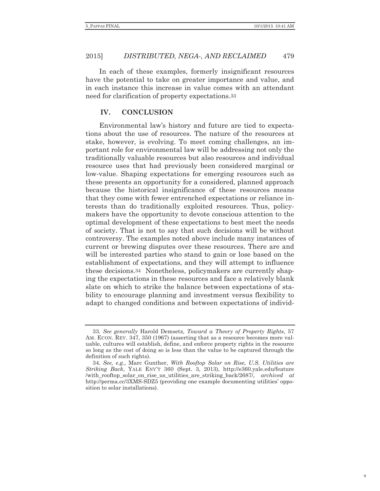In each of these examples, formerly insignificant resources have the potential to take on greater importance and value, and in each instance this increase in value comes with an attendant need for clarification of property expectations.33

#### **IV. CONCLUSION**

Environmental law's history and future are tied to expectations about the use of resources. The nature of the resources at stake, however, is evolving. To meet coming challenges, an important role for environmental law will be addressing not only the traditionally valuable resources but also resources and individual resource uses that had previously been considered marginal or low-value. Shaping expectations for emerging resources such as these presents an opportunity for a considered, planned approach because the historical insignificance of these resources means that they come with fewer entrenched expectations or reliance interests than do traditionally exploited resources. Thus, policymakers have the opportunity to devote conscious attention to the optimal development of these expectations to best meet the needs of society. That is not to say that such decisions will be without controversy. The examples noted above include many instances of current or brewing disputes over these resources. There are and will be interested parties who stand to gain or lose based on the establishment of expectations, and they will attempt to influence these decisions.34 Nonetheless, policymakers are currently shaping the expectations in these resources and face a relatively blank slate on which to strike the balance between expectations of stability to encourage planning and investment versus flexibility to adapt to changed conditions and between expectations of individ-

<sup>33</sup>*. See generally* Harold Demsetz, *Toward a Theory of Property Rights*, 57 AM. ECON. REV. 347, 350 (1967) (asserting that as a resource becomes more valuable, cultures will establish, define, and enforce property rights in the resource so long as the cost of doing so is less than the value to be captured through the definition of such rights).

<sup>34</sup>*. See, e.g.*, Marc Gunther, *With Rooftop Solar on Rise, U.S. Utilities are Striking Back*, YALE ENV'T 360 (Sept. 3, 2013), http://e360.yale.edu/feature /with\_rooftop\_solar\_on\_rise\_us\_utilities\_are\_striking\_back/2687/, *archived at* http://perma.cc/3XMS-SDZ5 (providing one example documenting utilities' opposition to solar installations).